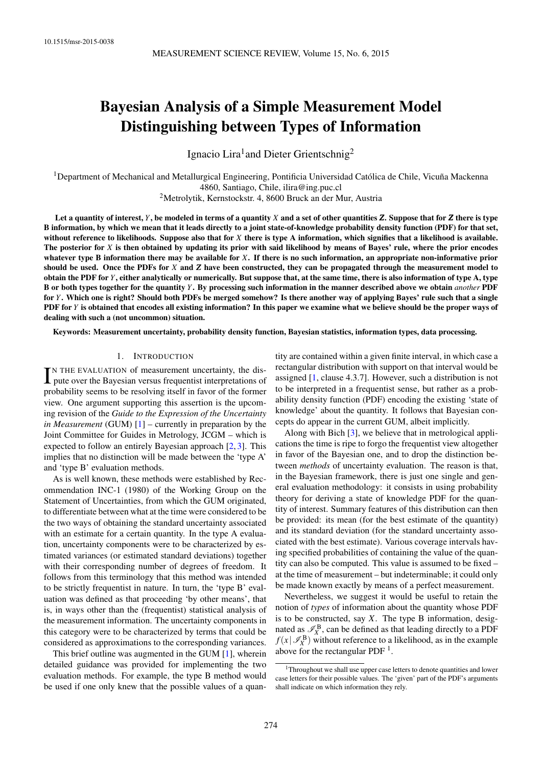# Bayesian Analysis of a Simple Measurement Model Distinguishing between Types of Information

Ignacio Lira<sup>1</sup> and Dieter Grientschnig<sup>2</sup>

 $1$ Department of Mechanical and Metallurgical Engineering, Pontificia Universidad Católica de Chile, Vicuña Mackenna 4860, Santiago, Chile, [ilira@ing.puc.cl](mailto:ilira@ing.puc.cl)

<sup>2</sup>Metrolytik, Kernstockstr. 4, 8600 Bruck an der Mur, Austria

Let a quantity of interest,  $Y$ , be modeled in terms of a quantity  $X$  and a set of other quantities  $Z$ . Suppose that for  $Z$  there is type B information, by which we mean that it leads directly to a joint state-of-knowledge probability density function (PDF) for that set, without reference to likelihoods. Suppose also that for *X* there is type A information, which signifies that a likelihood is available. The posterior for *X* is then obtained by updating its prior with said likelihood by means of Bayes' rule, where the prior encodes whatever type B information there may be available for *X*. If there is no such information, an appropriate non-informative prior should be used. Once the PDFs for *X* and *Z* have been constructed, they can be propagated through the measurement model to obtain the PDF for *Y*, either analytically or numerically. But suppose that, at the same time, there is also information of type A, type B or both types together for the quantity *Y*. By processing such information in the manner described above we obtain *another* PDF for *Y*. Which one is right? Should both PDFs be merged somehow? Is there another way of applying Bayes' rule such that a single PDF for *Y* is obtained that encodes all existing information? In this paper we examine what we believe should be the proper ways of dealing with such a (not uncommon) situation.

Keywords: Measurement uncertainty, probability density function, Bayesian statistics, information types, data processing.

# 1. INTRODUCTION

IN THE EVALUATION of measurement uncertainty, the dispute over the Bayesian versus frequentist interpretations of N THE EVALUATION of measurement uncertainty, the disprobability seems to be resolving itself in favor of the former view. One argument supporting this assertion is the upcoming revision of the *Guide to the Expression of the Uncertainty in Measurement* (GUM) [\[1\]](#page-9-0) – currently in preparation by the Joint Committee for Guides in Metrology, JCGM – which is expected to follow an entirely Bayesian approach [\[2,](#page-9-1) [3\]](#page-9-2). This implies that no distinction will be made between the 'type A' and 'type B' evaluation methods.

As is well known, these methods were established by Recommendation INC-1 (1980) of the Working Group on the Statement of Uncertainties, from which the GUM originated, to differentiate between what at the time were considered to be the two ways of obtaining the standard uncertainty associated with an estimate for a certain quantity. In the type A evaluation, uncertainty components were to be characterized by estimated variances (or estimated standard deviations) together with their corresponding number of degrees of freedom. It follows from this terminology that this method was intended to be strictly frequentist in nature. In turn, the 'type B' evaluation was defined as that proceeding 'by other means', that is, in ways other than the (frequentist) statistical analysis of the measurement information. The uncertainty components in this category were to be characterized by terms that could be considered as approximations to the corresponding variances.

This brief outline was augmented in the GUM [\[1\]](#page-9-0), wherein detailed guidance was provided for implementing the two evaluation methods. For example, the type B method would be used if one only knew that the possible values of a quantity are contained within a given finite interval, in which case a rectangular distribution with support on that interval would be assigned [\[1,](#page-9-0) clause 4.3.7]. However, such a distribution is not to be interpreted in a frequentist sense, but rather as a probability density function (PDF) encoding the existing 'state of knowledge' about the quantity. It follows that Bayesian concepts do appear in the current GUM, albeit implicitly.

Along with Bich [\[3\]](#page-9-2), we believe that in metrological applications the time is ripe to forgo the frequentist view altogether in favor of the Bayesian one, and to drop the distinction between *methods* of uncertainty evaluation. The reason is that, in the Bayesian framework, there is just one single and general evaluation methodology: it consists in using probability theory for deriving a state of knowledge PDF for the quantity of interest. Summary features of this distribution can then be provided: its mean (for the best estimate of the quantity) and its standard deviation (for the standard uncertainty associated with the best estimate). Various coverage intervals having specified probabilities of containing the value of the quantity can also be computed. This value is assumed to be fixed – at the time of measurement – but indeterminable; it could only be made known exactly by means of a perfect measurement.

Nevertheless, we suggest it would be useful to retain the notion of *types* of information about the quantity whose PDF is to be constructed, say *X*. The type B information, designated as  $\mathcal{I}_X^B$ , can be defined as that leading directly to a PDF  $f(x | \mathcal{I}_X^{\mathbf{B}})$  without reference to a likelihood, as in the example above for the rectangular PDF<sup>[1](#page-0-0)</sup>.

<span id="page-0-0"></span> $1$ Throughout we shall use upper case letters to denote quantities and lower case letters for their possible values. The 'given' part of the PDF's arguments shall indicate on which information they rely.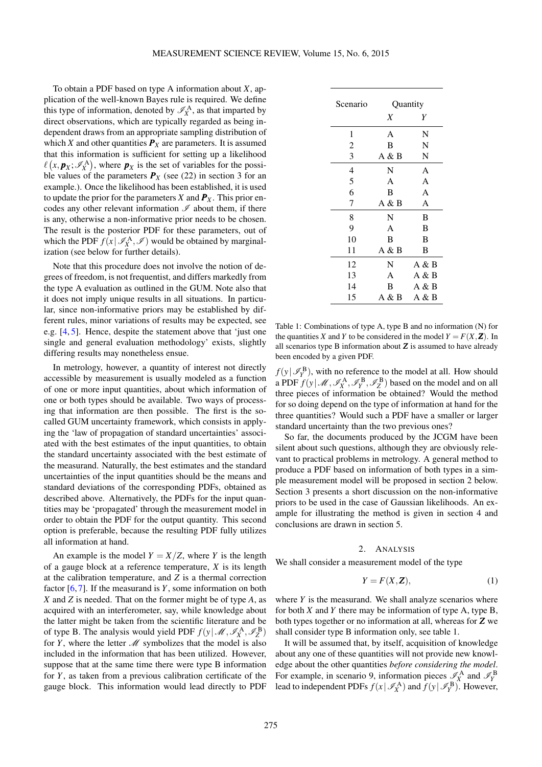To obtain a PDF based on type A information about *X*, application of the well-known Bayes rule is required. We define this type of information, denoted by  $\mathscr{I}_{X}^{A}$ , as that imparted by direct observations, which are typically regarded as being independent draws from an appropriate sampling distribution of which *X* and other quantities  $P_X$  are parameters. It is assumed that this information is sufficient for setting up a likelihood  $\ell(x, \mathbf{p}_X; \mathscr{I}_X^{\mathbf{A}})$ , where  $\mathbf{p}_X$  is the set of variables for the possible values of the parameters  $P_X$  (see [\(22\)](#page-4-0) in section [3](#page-4-1) for an example.). Once the likelihood has been established, it is used to update the prior for the parameters *X* and  $P_X$ . This prior encodes any other relevant information  $\mathscr I$  about them, if there is any, otherwise a non-informative prior needs to be chosen. The result is the posterior PDF for these parameters, out of which the PDF  $f(x | \mathcal{I}_X^{\mathbf{A}}, \mathcal{I})$  would be obtained by marginalization (see below for further details).

Note that this procedure does not involve the notion of degrees of freedom, is not frequentist, and differs markedly from the type A evaluation as outlined in the GUM. Note also that it does not imply unique results in all situations. In particular, since non-informative priors may be established by different rules, minor variations of results may be expected, see e.g. [\[4,](#page-9-3) [5\]](#page-9-4). Hence, despite the statement above that 'just one single and general evaluation methodology' exists, slightly differing results may nonetheless ensue.

In metrology, however, a quantity of interest not directly accessible by measurement is usually modeled as a function of one or more input quantities, about which information of one or both types should be available. Two ways of processing that information are then possible. The first is the socalled GUM uncertainty framework, which consists in applying the 'law of propagation of standard uncertainties' associated with the best estimates of the input quantities, to obtain the standard uncertainty associated with the best estimate of the measurand. Naturally, the best estimates and the standard uncertainties of the input quantities should be the means and standard deviations of the corresponding PDFs, obtained as described above. Alternatively, the PDFs for the input quantities may be 'propagated' through the measurement model in order to obtain the PDF for the output quantity. This second option is preferable, because the resulting PDF fully utilizes all information at hand.

An example is the model  $Y = X/Z$ , where *Y* is the length of a gauge block at a reference temperature, *X* is its length at the calibration temperature, and *Z* is a thermal correction factor [\[6,](#page-9-5) [7\]](#page-9-6). If the measurand is *Y*, some information on both *X* and *Z* is needed. That on the former might be of type *A*, as acquired with an interferometer, say, while knowledge about the latter might be taken from the scientific literature and be of type B. The analysis would yield PDF  $f(y | \mathcal{M}, \mathcal{I}_X^{\mathbf{A}}, \mathcal{I}_Z^{\mathbf{B}})$ for *Y*, where the letter  $M$  symbolizes that the model is also included in the information that has been utilized. However, suppose that at the same time there were type B information for *Y*, as taken from a previous calibration certificate of the gauge block. This information would lead directly to PDF

<span id="page-1-1"></span>

| Scenario       | Quantity |       |  |
|----------------|----------|-------|--|
|                | X        | Y     |  |
| 1              | A        | N     |  |
| $\overline{c}$ | B        | N     |  |
| 3              | A & B    | N     |  |
| $\overline{4}$ | N        | A     |  |
| 5              | A        | A     |  |
| 6              | B        | A     |  |
| 7              | A & B    | A     |  |
| 8              | N        | B     |  |
| 9              | A        | B     |  |
| 10             | B        | B     |  |
| 11             | A & B    | B     |  |
| 12             | N        | Α&Β   |  |
| 13             | A        | Α&Β   |  |
| 14             | B        | Α&Β   |  |
| 15             | A & B    | A & B |  |

Table 1: Combinations of type A, type B and no information (N) for the quantities *X* and *Y* to be considered in the model  $Y = F(X, Z)$ . In all scenarios type B information about *Z* is assumed to have already been encoded by a given PDF.

 $f(y | \mathscr{I}_Y^{\mathbf{B}})$ , with no reference to the model at all. How should  $Y(Y | \mathscr{I}_Y)$ , which is defined to the model at all. Trow should a PDF  $f(y | \mathscr{M}, \mathscr{I}_X^A, \mathscr{I}_Y^B, \mathscr{I}_Z^B)$  based on the model and on all three pieces of information be obtained? Would the method for so doing depend on the type of information at hand for the three quantities? Would such a PDF have a smaller or larger standard uncertainty than the two previous ones?

So far, the documents produced by the JCGM have been silent about such questions, although they are obviously relevant to practical problems in metrology. A general method to produce a PDF based on information of both types in a simple measurement model will be proposed in section [2](#page-1-0) below. Section [3](#page-4-1) presents a short discussion on the non-informative priors to be used in the case of Gaussian likelihoods. An example for illustrating the method is given in section [4](#page-4-2) and conclusions are drawn in section [5.](#page-8-0)

#### 2. ANALYSIS

<span id="page-1-0"></span>We shall consider a measurement model of the type

<span id="page-1-2"></span>
$$
Y = F(X, Z), \tag{1}
$$

where *Y* is the measurand. We shall analyze scenarios where for both *X* and *Y* there may be information of type A, type B, both types together or no information at all, whereas for *Z* we shall consider type B information only, see table [1.](#page-1-1)

It will be assumed that, by itself, acquisition of knowledge about any one of these quantities will not provide new knowledge about the other quantities *before considering the model*. For example, in scenario 9, information pieces  $\mathcal{I}_X^A$  and  $\mathcal{I}_Y^B$ lead to independent PDFs  $f(x | \mathcal{I}_X^{\mathbf{A}})$  and  $f(y | \mathcal{I}_Y^{\mathbf{B}})$ . However,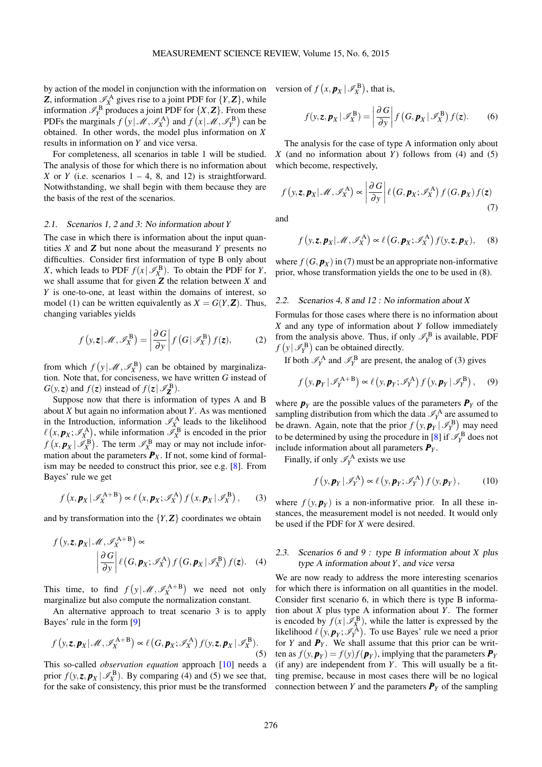by action of the model in conjunction with the information on *Z*, information  $\mathcal{I}_X^{\mathbf{A}}$  gives rise to a joint PDF for  $\{Y, \mathbf{Z}\}$ , while information  $\mathcal{I}_Y^{\text{B}}$  produces a joint PDF for  $\{X, Z\}$ . From these PDFs the marginals  $f(y | \mathcal{M}, \mathcal{I}_X^{\mathbf{A}})$  and  $f(x | \mathcal{M}, \mathcal{I}_Y^{\mathbf{B}})$  can be obtained. In other words, the model plus information on *X* results in information on *Y* and vice versa.

For completeness, all scenarios in table [1](#page-1-1) will be studied. The analysis of those for which there is no information about *X* or *Y* (i.e. scenarios  $1 - 4$ , 8, and 12) is straightforward. Notwithstanding, we shall begin with them because they are the basis of the rest of the scenarios.

#### 2.1. Scenarios 1, 2 and 3: No information about *Y*

The case in which there is information about the input quantities *X* and *Z* but none about the measurand *Y* presents no difficulties. Consider first information of type B only about *X*, which leads to PDF  $f(x | \mathcal{I}_X^{\mathbf{B}})$ . To obtain the PDF for *Y*, we shall assume that for given *Z* the relation between *X* and *Y* is one-to-one, at least within the domains of interest, so model [\(1\)](#page-1-2) can be written equivalently as  $X = G(Y, Z)$ . Thus, changing variables yields

<span id="page-2-5"></span>
$$
f(y, z | \mathcal{M}, \mathcal{I}_X^{\mathbf{B}}) = \left| \frac{\partial G}{\partial y} \right| f(G | \mathcal{I}_X^{\mathbf{B}}) f(z), \tag{2}
$$

from which  $f(y | \mathcal{M}, \mathcal{I}_X^{\mathbf{B}})$  can be obtained by marginalization. Note that, for conciseness, we have written *G* instead of  $G(y, z)$  and  $f(z)$  instead of  $f(z | \mathscr{I}_{\mathbf{Z}}^{\mathbf{B}})$ .

Suppose now that there is information of types A and B about *X* but again no information about *Y*. As was mentioned in the Introduction, information  $\mathcal{I}_X^{\mathbf{A}}$  leads to the likelihood  $\ell(x, p_X; \mathcal{I}_X^A)$ , while information  $\mathcal{I}_X^B$  is encoded in the prior  $f(x, p_X | \mathscr{I}_X^{\mathbf{B}})$ . The term  $\mathscr{I}_X^{\mathbf{B}}$  may or may not include information about the parameters  $P_X$ . If not, some kind of formalism may be needed to construct this prior, see e.g. [\[8\]](#page-9-7). From Bayes' rule we get

<span id="page-2-4"></span>
$$
f(x, \mathbf{p}_X | \mathscr{I}_X^{A+B}) \propto \ell(x, \mathbf{p}_X; \mathscr{I}_X^A) f(x, \mathbf{p}_X | \mathscr{I}_X^B), \qquad (3)
$$

and by transformation into the  ${Y, Z}$  coordinates we obtain

$$
f(y, z, p_X | \mathcal{M}, \mathcal{I}_X^{A+B}) \propto
$$

$$
\left| \frac{\partial G}{\partial y} \right| \ell(G, p_X; \mathcal{I}_X^A) f(G, p_X | \mathcal{I}_X^B) f(z). \quad (4)
$$

This time, to find  $f(y | \mathcal{M}, \mathcal{I}_X^{A+B})$  we need not only marginalize but also compute the normalization constant.

An alternative approach to treat scenario 3 is to apply Bayes' rule in the form [\[9\]](#page-9-8)

<span id="page-2-1"></span>
$$
f(y, z, \mathbf{p}_X | \mathcal{M}, \mathcal{I}_X^{A+B}) \propto \ell\left(G, \mathbf{p}_X; \mathcal{I}_X^A\right) f(y, z, \mathbf{p}_X | \mathcal{I}_X^B).
$$
\n(5)

This so-called *observation equation* approach [\[10\]](#page-9-9) needs a prior  $f(y, z, p_X | \mathcal{I}_X^B)$ . By comparing [\(4\)](#page-2-0) and [\(5\)](#page-2-1) we see that, for the sake of consistency, this prior must be the transformed version of  $f(x, p_X | \mathcal{I}_X^B)$ , that is,

<span id="page-2-2"></span>
$$
f(y, z, p_X | \mathscr{I}_X^{\mathbf{B}}) = \left| \frac{\partial G}{\partial y} \right| f\left(G, p_X | \mathscr{I}_X^{\mathbf{B}}\right) f(z). \tag{6}
$$

The analysis for the case of type A information only about *X* (and no information about *Y*) follows from [\(4\)](#page-2-0) and [\(5\)](#page-2-1) which become, respectively,

$$
f(y, z, p_X | \mathcal{M}, \mathcal{I}_X^{\mathbf{A}}) \propto \left| \frac{\partial G}{\partial y} \right| \ell\left(G, p_X; \mathcal{I}_X^{\mathbf{A}}\right) f\left(G, p_X\right) f(z) \tag{7}
$$

<span id="page-2-3"></span>and

$$
f\left(y, z, \boldsymbol{p}_X | \mathcal{M}, \mathcal{I}_X^{\mathbf{A}}\right) \propto \ell\left(G, \boldsymbol{p}_X; \mathcal{I}_X^{\mathbf{A}}\right) f(y, z, \boldsymbol{p}_X),\tag{8}
$$

where  $f(G, \mathbf{p}_X)$  in [\(7\)](#page-2-2) must be an appropriate non-informative prior, whose transformation yields the one to be used in [\(8\)](#page-2-3).

#### 2.2. Scenarios 4, 8 and 12 : No information about *X*

Formulas for those cases where there is no information about *X* and any type of information about *Y* follow immediately from the analysis above. Thus, if only  $\mathcal{I}_Y^{\text{B}}$  is available, PDF  $f(y | \mathscr{I}_Y^{\mathbf{B}})$  can be obtained directly.

If both  $\mathcal{I}_Y^{\text{A}}$  and  $\mathcal{I}_Y^{\text{B}}$  are present, the analog of [\(3\)](#page-2-4) gives

<span id="page-2-6"></span>
$$
f\left(y,\mathbf{p}_{Y} \,|\, \mathscr{I}_{Y}^{A+B}\right) \propto \ell\left(y,\mathbf{p}_{Y};\mathscr{I}_{Y}^{A}\right) f\left(y,\mathbf{p}_{Y} \,|\, \mathscr{I}_{Y}^{B}\right),\qquad(9)
$$

where  $p<sub>y</sub>$  are the possible values of the parameters  $P<sub>y</sub>$  of the sampling distribution from which the data  $\mathcal{I}_Y^A$  are assumed to be drawn. Again, note that the prior  $f(y, p_Y | \mathcal{I}_Y^B)$  may need to be determined by using the procedure in [\[8\]](#page-9-7) if  $\mathcal{I}_Y^{\text{B}}$  does not include information about all parameters  $P_Y$ .

Finally, if only  $\mathcal{I}_Y^{\mathbf{A}}$  exists we use

<span id="page-2-7"></span>
$$
f\left(y,\mathbf{p}_{Y}|\mathscr{I}_{Y}^{A}\right)\propto\ell\left(y,\mathbf{p}_{Y};\mathscr{I}_{Y}^{A}\right)f\left(y,\mathbf{p}_{Y}\right),\qquad(10)
$$

where  $f(y, p_y)$  is a non-informative prior. In all these instances, the measurement model is not needed. It would only be used if the PDF for *X* were desired.

# <span id="page-2-0"></span>2.3. Scenarios 6 and 9 : type B information about *X* plus type A information about *Y*, and vice versa

We are now ready to address the more interesting scenarios for which there is information on all quantities in the model. Consider first scenario 6, in which there is type B information about *X* plus type A information about *Y*. The former is encoded by  $f(x | \mathcal{I}_X^{\mathbf{B}})$ , while the latter is expressed by the likelihood  $\ell(y, p_Y; \mathscr{I}_Y^{\mathbf{A}})$ . To use Bayes' rule we need a prior for *Y* and  $\vec{P}_Y$ . We shall assume that this prior can be written as  $f(y, p_Y) = f(y)f(p_Y)$ , implying that the parameters  $P_Y$ (if any) are independent from *Y*. This will usually be a fitting premise, because in most cases there will be no logical connection between *Y* and the parameters  $P<sub>Y</sub>$  of the sampling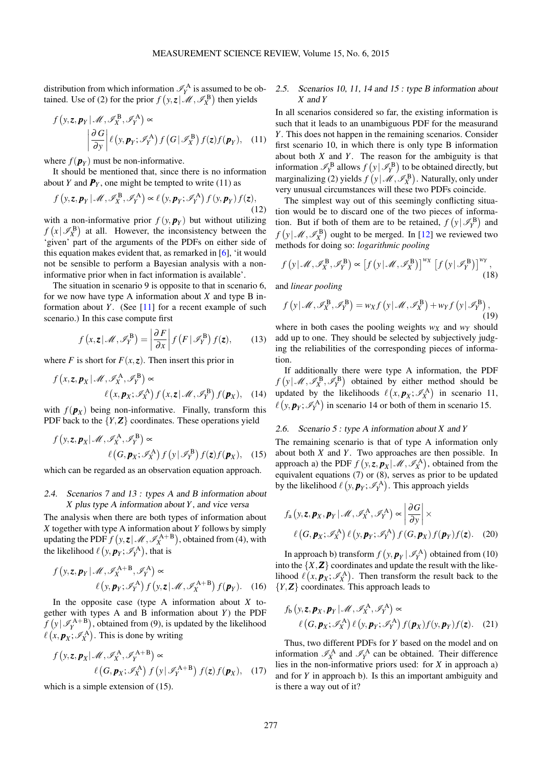distribution from which information  $\mathcal{I}_Y^A$  is assumed to be ob-tained. Use of [\(2\)](#page-2-5) for the prior  $f(y, z | \mathcal{M}, \mathcal{I}_X^B)$  then yields

$$
f(y, z, p_Y | \mathcal{M}, \mathcal{I}_X^B, \mathcal{I}_Y^A) \propto
$$

$$
\left| \frac{\partial G}{\partial y} \right| \ell(y, p_Y; \mathcal{I}_Y^A) f(G | \mathcal{I}_X^B) f(z) f(p_Y), \quad (11)
$$

where  $f(\mathbf{p}_Y)$  must be non-informative.

It should be mentioned that, since there is no information about *Y* and  $P_Y$ , one might be tempted to write [\(11\)](#page-3-0) as

$$
f\left(y, z, \boldsymbol{p}_Y \,|\, \mathcal{M}, \mathcal{I}_X^{\, \mathbf{B}}, \mathcal{I}_Y^{\, \mathbf{A}}\right) \propto \ell\left(y, \boldsymbol{p}_Y; \mathcal{I}_Y^{\, \mathbf{A}}\right) f\left(y, \boldsymbol{p}_Y\right) f(z),\tag{12}
$$

with a non-informative prior  $f(y, p_y)$  but without utilizing  $f(x | \mathcal{I}_X^{\text{B}})$  at all. However, the inconsistency between the 'given' part of the arguments of the PDFs on either side of this equation makes evident that, as remarked in [\[6\]](#page-9-5), 'it would not be sensible to perform a Bayesian analysis with a noninformative prior when in fact information is available'.

The situation in scenario 9 is opposite to that in scenario 6, for we now have type A information about *X* and type B information about *Y*. (See [\[11\]](#page-9-10) for a recent example of such scenario.) In this case compute first

$$
f(x, z | \mathcal{M}, \mathcal{I}_Y^{\mathrm{B}}) = \left| \frac{\partial F}{\partial x} \right| f(F | \mathcal{I}_Y^{\mathrm{B}}) f(z), \qquad (13)
$$

where *F* is short for  $F(x, z)$ . Then insert this prior in

$$
f(x, z, \mathbf{p}_X | \mathcal{M}, \mathcal{I}_X^{\mathbf{A}}, \mathcal{I}_Y^{\mathbf{B}}) \propto
$$
  

$$
\ell(x, \mathbf{p}_X; \mathcal{I}_X^{\mathbf{A}}) f(x, z | \mathcal{M}, \mathcal{I}_Y^{\mathbf{B}}) f(\mathbf{p}_X), \quad (14)
$$

with  $f(\mathbf{p}_X)$  being non-informative. Finally, transform this PDF back to the  ${Y, Z}$  coordinates. These operations yield

$$
f\left(y, z, \boldsymbol{p}_X | \mathcal{M}, \mathcal{I}_X^{\mathbf{A}}, \mathcal{I}_Y^{\mathbf{B}}\right) \propto
$$
  

$$
\ell\left(G, \boldsymbol{p}_X; \mathcal{I}_X^{\mathbf{A}}\right) f\left(y | \mathcal{I}_Y^{\mathbf{B}}\right) f(z) f(\boldsymbol{p}_X), \quad (15)
$$

which can be regarded as an observation equation approach.

## 2.4. Scenarios 7 and 13 : types A and B information about *X* plus type A information about *Y*, and vice versa

The analysis when there are both types of information about *X* together with type A information about *Y* follows by simply updating the PDF  $f(y, z | \mathcal{M}, \mathcal{I}_{X}^{A+B})$ , obtained from [\(4\)](#page-2-0), with the likelihood  $\ell(y, p_Y; \mathscr{I}^{\mathbf{A}}_Y)$ , that is

$$
f\left(y, z, \boldsymbol{p}_Y | \mathcal{M}, \mathcal{I}_X^{A+B}, \mathcal{I}_Y^A\right) \propto
$$
  

$$
\ell\left(y, \boldsymbol{p}_Y; \mathcal{I}_Y^A\right) f\left(y, z | \mathcal{M}, \mathcal{I}_X^{A+B}\right) f(\boldsymbol{p}_Y). \quad (16)
$$

In the opposite case (type A information about *X* together with types A and B information about *Y*) the PDF  $f(y | \mathscr{I}_Y^{A+B})$ , obtained from [\(9\)](#page-2-6), is updated by the likelihood  $\ell(x, \mathbf{p}_X; \mathscr{I}_X^{\mathbf{A}})$ . This is done by writing

$$
f(y, z, p_X | \mathcal{M}, \mathcal{I}_X^{\mathbf{A}}, \mathcal{I}_Y^{\mathbf{A} + \mathbf{B}}) \propto
$$

$$
\ell\left(G, p_X; \mathcal{I}_X^{\mathbf{A}}\right) f\left(y | \mathcal{I}_Y^{\mathbf{A} + \mathbf{B}}\right) f(z) f(p_X), \quad (17)
$$

which is a simple extension of [\(15\)](#page-3-1).

# <span id="page-3-7"></span>2.5. Scenarios 10, 11, 14 and 15 : type B information about *X* and *Y*

<span id="page-3-0"></span>In all scenarios considered so far, the existing information is such that it leads to an unambiguous PDF for the measurand *Y*. This does not happen in the remaining scenarios. Consider first scenario 10, in which there is only type B information about both *X* and *Y*. The reason for the ambiguity is that information  $\mathcal{I}_Y^{\text{B}}$  allows  $f(y | \mathcal{I}_Y^{\text{B}})$  to be obtained directly, but marginalizing [\(2\)](#page-2-5) yields  $f(y | \mathcal{M}, \mathcal{I}_X^{\mathbf{B}})$ . Naturally, only under very unusual circumstances will these two PDFs coincide.

The simplest way out of this seemingly conflicting situation would be to discard one of the two pieces of information. But if both of them are to be retained,  $f(y | \mathcal{I}_Y^B)$  and  $f(y | \mathcal{M}, \mathcal{I}_X^{\text{B}})$  ought to be merged. In [\[12\]](#page-9-11) we reviewed two methods for doing so: *logarithmic pooling*

$$
f\left(\mathbf{y}|\mathcal{M},\mathscr{I}_{X}^{B},\mathscr{I}_{Y}^{B}\right)\propto\left[f\left(\mathbf{y}|\mathcal{M},\mathscr{I}_{X}^{B}\right)\right]^{w_{X}}\left[f\left(\mathbf{y}|\mathcal{I}_{Y}^{B}\right)\right]^{w_{Y}},\tag{18}
$$

and *linear pooling*

$$
f(y|\mathcal{M}, \mathcal{I}_X^B, \mathcal{I}_Y^B) = w_X f(y|\mathcal{M}, \mathcal{I}_X^B) + w_Y f(y|\mathcal{I}_Y^B),
$$
\n(19)

where in both cases the pooling weights  $w<sub>X</sub>$  and  $w<sub>Y</sub>$  should add up to one. They should be selected by subjectively judging the reliabilities of the corresponding pieces of information.

If additionally there were type A information, the PDF  $f(y | \mathcal{M}, \mathcal{I}_X^B, \mathcal{I}_Y^B)$  obtained by either method should be updated by the likelihoods  $\ell(x, p_X; \mathscr{I}_{X}^{\mathbf{A}})$  in scenario 11,  $\ell(y, p_Y; \mathscr{I}_Y^{\mathbf{A}})$  in scenario 14 or both of them in scenario 15.

## <span id="page-3-6"></span>2.6. Scenario 5 : type A information about *X* and *Y*

<span id="page-3-1"></span>The remaining scenario is that of type A information only about both *X* and *Y*. Two approaches are then possible. In approach a) the PDF  $f(y, z, p_X | \mathcal{M}, \mathcal{I}_X^{\mathbf{A}})$ , obtained from the equivalent equations  $(7)$  or  $(8)$ , serves as prior to be updated by the likelihood  $\ell(y, p_Y; \mathscr{I}^{\mathbf{A}}_Y)$ . This approach yields

<span id="page-3-4"></span>
$$
f_{\rm a}(\mathbf{y}, \mathbf{z}, \mathbf{p}_X, \mathbf{p}_Y | \mathcal{M}, \mathcal{I}_X^{\rm A}, \mathcal{I}_Y^{\rm A}) \propto \left| \frac{\partial G}{\partial \mathbf{y}} \right| \times
$$
  

$$
\ell\left(G, \mathbf{p}_X; \mathcal{I}_X^{\rm A}\right) \ell\left(\mathbf{y}, \mathbf{p}_Y; \mathcal{I}_Y^{\rm A}\right) f\left(G, \mathbf{p}_X\right) f(\mathbf{p}_Y) f(\mathbf{z}). \quad (20)
$$

<span id="page-3-2"></span>In approach b) transform  $f(y, p_Y | \mathcal{I}_Y^{\mathbf{A}})$  obtained from [\(10\)](#page-2-7) into the  $\{X, Z\}$  coordinates and update the result with the likelihood  $\ell(x, \mathbf{p}_X; \mathscr{I}_X^{\mathbf{A}})$ . Then transform the result back to the {*Y*,*Z*} coordinates. This approach leads to

<span id="page-3-5"></span>
$$
f_{\mathbf{b}}\left(y,\mathbf{z},\mathbf{p}_{X},\mathbf{p}_{Y}|\mathcal{M},\mathcal{I}_{X}^{\mathbf{A}},\mathcal{I}_{Y}^{\mathbf{A}}\right)\propto
$$
  

$$
\ell\left(G,\mathbf{p}_{X};\mathcal{I}_{X}^{\mathbf{A}}\right)\ell\left(y,\mathbf{p}_{Y};\mathcal{I}_{Y}^{\mathbf{A}}\right)f(\mathbf{p}_{X})f(y,\mathbf{p}_{Y})f(\mathbf{z}).
$$
 (21)

<span id="page-3-3"></span>Thus, two different PDFs for *Y* based on the model and on information  $\mathcal{I}_X^A$  and  $\mathcal{I}_Y^A$  can be obtained. Their difference lies in the non-informative priors used: for *X* in approach a) and for *Y* in approach b). Is this an important ambiguity and is there a way out of it?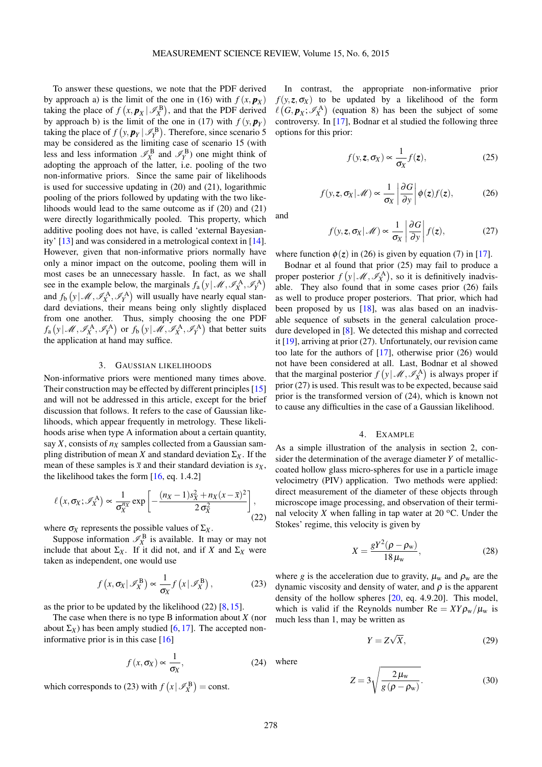To answer these questions, we note that the PDF derived by approach a) is the limit of the one in [\(16\)](#page-3-2) with  $f(x, p_X)$ taking the place of  $f(x, p_X | \mathcal{I}_X^{\text{B}})$ , and that the PDF derived by approach b) is the limit of the one in [\(17\)](#page-3-3) with  $f(y, p_y)$ taking the place of  $f(y, p_Y | \mathcal{I}_Y^B)$ . Therefore, since scenario 5 may be considered as the limiting case of scenario 15 (with less and less information  $\mathcal{I}_X^{\text{B}}$  and  $\mathcal{I}_Y^{\text{B}}$ ) one might think of adopting the approach of the latter, i.e. pooling of the two non-informative priors. Since the same pair of likelihoods is used for successive updating in [\(20\)](#page-3-4) and [\(21\)](#page-3-5), logarithmic pooling of the priors followed by updating with the two likelihoods would lead to the same outcome as if [\(20\)](#page-3-4) and [\(21\)](#page-3-5) were directly logarithmically pooled. This property, which additive pooling does not have, is called 'external Bayesianity' [\[13\]](#page-9-12) and was considered in a metrological context in [\[14\]](#page-9-13). However, given that non-informative priors normally have only a minor impact on the outcome, pooling them will in most cases be an unnecessary hassle. In fact, as we shall see in the example below, the marginals  $f_a(y | \mathcal{M}, \mathcal{I}_X^A, \mathcal{I}_Y^A)$ and  $f_b(y | M, \mathscr{I}_X^A, \mathscr{I}_Y^A)$  will usually have nearly equal standard deviations, their means being only slightly displaced from one another. Thus, simply choosing the one PDF  $f_a(y|\mathcal{M}, \mathscr{I}_X^{\mathbf{A}}, \mathscr{I}_Y^{\mathbf{A}})$  or  $f_b(y|\mathcal{M}, \mathscr{I}_X^{\mathbf{A}}, \mathscr{I}_Y^{\mathbf{A}})$  that better suits the application at hand may suffice.

## 3. GAUSSIAN LIKELIHOODS

<span id="page-4-1"></span>Non-informative priors were mentioned many times above. Their construction may be effected by different principles [\[15\]](#page-9-14) and will not be addressed in this article, except for the brief discussion that follows. It refers to the case of Gaussian likelihoods, which appear frequently in metrology. These likelihoods arise when type A information about a certain quantity, say *X*, consists of *n<sup>X</sup>* samples collected from a Gaussian sampling distribution of mean *X* and standard deviation  $\Sigma_X$ . If the mean of these samples is  $\bar{x}$  and their standard deviation is  $s_X$ , the likelihood takes the form [\[16,](#page-9-15) eq. 1.4.2]

$$
\ell\left(x,\sigma_X;\mathscr{I}_X^{\mathbf{A}}\right) \propto \frac{1}{\sigma_X^{n_X}} \exp\left[-\frac{(n_X-1)s_X^2 + n_X(x-\overline{x})^2}{2\,\sigma_X^2}\right],\tag{22}
$$

where  $\sigma_X$  represents the possible values of  $\Sigma_X$ .

Suppose information  $\mathcal{I}_X^{\mathbf{B}}$  is available. It may or may not include that about  $\Sigma_X$ . If it did not, and if *X* and  $\Sigma_X$  were taken as independent, one would use

<span id="page-4-3"></span>
$$
f(x, \sigma_X | \mathscr{I}_X^B) \propto \frac{1}{\sigma_X} f(x | \mathscr{I}_X^B), \qquad (23)
$$

as the prior to be updated by the likelihood [\(22\)](#page-4-0) [\[8,](#page-9-7) [15\]](#page-9-14).

The case when there is no type B information about *X* (nor about  $\Sigma_X$ ) has been amply studied [\[6,](#page-9-5) [17\]](#page-9-16). The accepted noninformative prior is in this case [\[16\]](#page-9-15)

<span id="page-4-7"></span>
$$
f(x, \sigma_X) \propto \frac{1}{\sigma_X},
$$
 (24) w

which corresponds to [\(23\)](#page-4-3) with  $f(x | \mathcal{I}_X^B) = \text{const.}$ 

In contrast, the appropriate non-informative prior  $f(y, z, \sigma_X)$  to be updated by a likelihood of the form  $\ell(G, \mathbf{p}_X; \mathscr{I}_X^{\mathbf{A}})$  (equation [8\)](#page-2-3) has been the subject of some controversy. In [\[17\]](#page-9-16), Bodnar et al studied the following three options for this prior:

<span id="page-4-5"></span>
$$
f(y, z, \sigma_X) \propto \frac{1}{\sigma_X} f(z), \qquad (25)
$$

$$
f(y, z, \sigma_X | \mathcal{M}) \propto \frac{1}{\sigma_X} \left| \frac{\partial G}{\partial y} \right| \phi(z) f(z), \tag{26}
$$

<span id="page-4-6"></span><span id="page-4-4"></span>and

$$
f(y, z, \sigma_X | \mathcal{M}) \propto \frac{1}{\sigma_X} \left| \frac{\partial G}{\partial y} \right| f(z), \tag{27}
$$

where function  $\phi(z)$  in [\(26\)](#page-4-4) is given by equation (7) in [\[17\]](#page-9-16).

Bodnar et al found that prior [\(25\)](#page-4-5) may fail to produce a proper posterior  $f(y | \mathcal{M}, \mathcal{I}_X^{\mathbf{A}})$ , so it is definitively inadvisable. They also found that in some cases prior [\(26\)](#page-4-4) fails as well to produce proper posteriors. That prior, which had been proposed by us [\[18\]](#page-9-17), was alas based on an inadvisable sequence of subsets in the general calculation procedure developed in [\[8\]](#page-9-7). We detected this mishap and corrected it [\[19\]](#page-9-18), arriving at prior [\(27\)](#page-4-6). Unfortunately, our revision came too late for the authors of [\[17\]](#page-9-16), otherwise prior [\(26\)](#page-4-4) would not have been considered at all. Last, Bodnar et al showed that the marginal posterior  $f(y | \mathcal{M}, \mathcal{I}_{X}^{A})$  is always proper if prior [\(27\)](#page-4-6) is used. This result was to be expected, because said prior is the transformed version of [\(24\)](#page-4-7), which is known not to cause any difficulties in the case of a Gaussian likelihood.

## 4. EXAMPLE

<span id="page-4-2"></span><span id="page-4-0"></span>As a simple illustration of the analysis in section [2,](#page-1-0) consider the determination of the average diameter *Y* of metalliccoated hollow glass micro-spheres for use in a particle image velocimetry (PIV) application. Two methods were applied: direct measurement of the diameter of these objects through microscope image processing, and observation of their terminal velocity *X* when falling in tap water at 20  $^{\circ}$ C. Under the Stokes' regime, this velocity is given by

$$
X = \frac{gY^2(\rho - \rho_w)}{18\,\mu_w},\tag{28}
$$

where *g* is the acceleration due to gravity,  $\mu_w$  and  $\rho_w$  are the dynamic viscosity and density of water, and  $\rho$  is the apparent density of the hollow spheres [\[20,](#page-9-19) eq. 4.9.20]. This model, which is valid if the Reynolds number  $\text{Re} = XY \rho_w / \mu_w$  is much less than 1, may be written as

<span id="page-4-9"></span>
$$
Y = Z\sqrt{X},\tag{29}
$$

<span id="page-4-8"></span>here

$$
Z = 3\sqrt{\frac{2\,\mu_{\rm w}}{g\left(\rho - \rho_{\rm w}\right)}}.\tag{30}
$$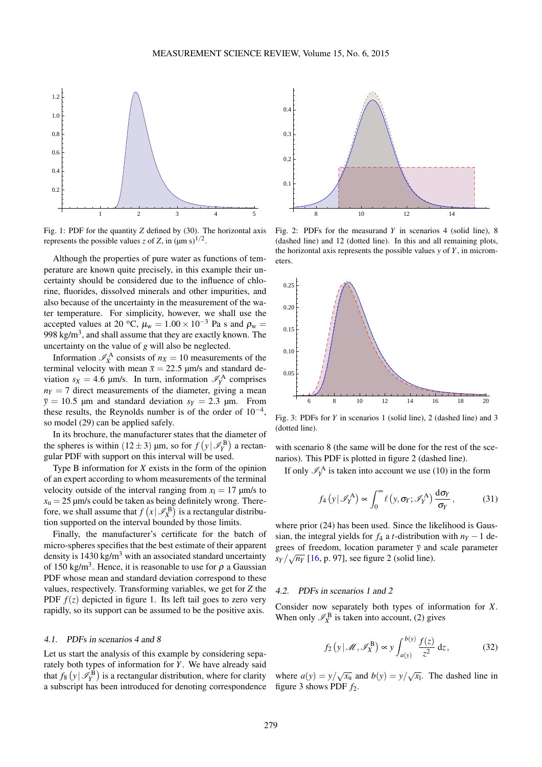<span id="page-5-0"></span>

Fig. 1: PDF for the quantity *Z* defined by [\(30\)](#page-4-8). The horizontal axis represents the possible values *z* of *Z*, in  $(\mu m s)^{1/2}$ .

Although the properties of pure water as functions of temperature are known quite precisely, in this example their uncertainty should be considered due to the influence of chlorine, fluorides, dissolved minerals and other impurities, and also because of the uncertainty in the measurement of the water temperature. For simplicity, however, we shall use the accepted values at 20 °C,  $\mu_w = 1.00 \times 10^{-3}$  Pa s and  $\rho_w =$ 998 kg/m $^3$ , and shall assume that they are exactly known. The uncertainty on the value of *g* will also be neglected.

Information  $\mathcal{I}_X^A$  consists of  $n_X = 10$  measurements of the terminal velocity with mean  $\bar{x} = 22.5$  µm/s and standard deviation  $s_X = 4.6$  µm/s. In turn, information  $\mathcal{I}_Y^A$  comprises  $n_Y = 7$  direct measurements of the diameter, giving a mean  $\bar{y} = 10.5$  µm and standard deviation  $s_Y = 2.3$  µm. From these results, the Reynolds number is of the order of  $10^{-4}$ , so model [\(29\)](#page-4-9) can be applied safely.

In its brochure, the manufacturer states that the diameter of the spheres is within  $(12 \pm 3)$  µm, so for  $f(y | \mathcal{I}_Y^{\text{B}})$  a rectangular PDF with support on this interval will be used.

Type B information for *X* exists in the form of the opinion of an expert according to whom measurements of the terminal velocity outside of the interval ranging from  $x<sub>l</sub> = 17 \mu m/s$  to  $x<sub>u</sub> = 25 \, \mu m/s$  could be taken as being definitely wrong. Therefore, we shall assume that  $f(x|\mathcal{I}_X^{\mathbf{B}})$  is a rectangular distribution supported on the interval bounded by those limits.

Finally, the manufacturer's certificate for the batch of micro-spheres specifies that the best estimate of their apparent density is  $1430 \text{ kg/m}^3$  with an associated standard uncertainty of 150 kg/m<sup>3</sup>. Hence, it is reasonable to use for  $\rho$  a Gaussian PDF whose mean and standard deviation correspond to these values, respectively. Transforming variables, we get for *Z* the PDF  $f(z)$  depicted in figure [1.](#page-5-0) Its left tail goes to zero very rapidly, so its support can be assumed to be the positive axis.

## 4.1. PDFs in scenarios 4 and 8

Let us start the analysis of this example by considering separately both types of information for *Y*. We have already said that  $f_8(y | \mathcal{I}_Y^{\mathbf{B}})$  is a rectangular distribution, where for clarity a subscript has been introduced for denoting correspondence

<span id="page-5-1"></span>

Fig. 2: PDFs for the measurand *Y* in scenarios 4 (solid line), 8 (dashed line) and 12 (dotted line). In this and all remaining plots, the horizontal axis represents the possible values *y* of *Y*, in micrometers.

<span id="page-5-2"></span>

Fig. 3: PDFs for *Y* in scenarios 1 (solid line), 2 (dashed line) and 3 (dotted line).

with scenario 8 (the same will be done for the rest of the scenarios). This PDF is plotted in figure [2](#page-5-1) (dashed line).

If only  $\mathcal{I}_Y^{\mathbf{A}}$  is taken into account we use [\(10\)](#page-2-7) in the form

$$
f_4\left(y|\mathscr{I}_Y^{\mathcal{A}}\right) \propto \int_0^\infty \ell\left(y, \sigma_Y; \mathscr{I}_Y^{\mathcal{A}}\right) \frac{\mathrm{d}\sigma_Y}{\sigma_Y},\tag{31}
$$

where prior [\(24\)](#page-4-7) has been used. Since the likelihood is Gaussian, the integral yields for  $f_4$  a *t*-distribution with  $n<sub>Y</sub> - 1$  degrees of freedom, location parameter  $\overline{y}$  and scale parameter  $s_Y/\sqrt{n_Y}$  [\[16,](#page-9-15) p. 97], see figure [2](#page-5-1) (solid line).

### 4.2. PDFs in scenarios 1 and 2

Consider now separately both types of information for *X*. When only  $\mathcal{I}_X^{\mathbf{B}}$  is taken into account, [\(2\)](#page-2-5) gives

$$
f_2(y|\mathcal{M}, \mathscr{I}_{X}^{B}) \propto y \int_{a(y)}^{b(y)} \frac{f(z)}{z^2} dz,
$$
 (32)

where  $a(y) = y/\sqrt{x_u}$  and  $b(y) = y/\sqrt{x_l}$ . The dashed line in figure [3](#page-5-2) shows PDF *f*2.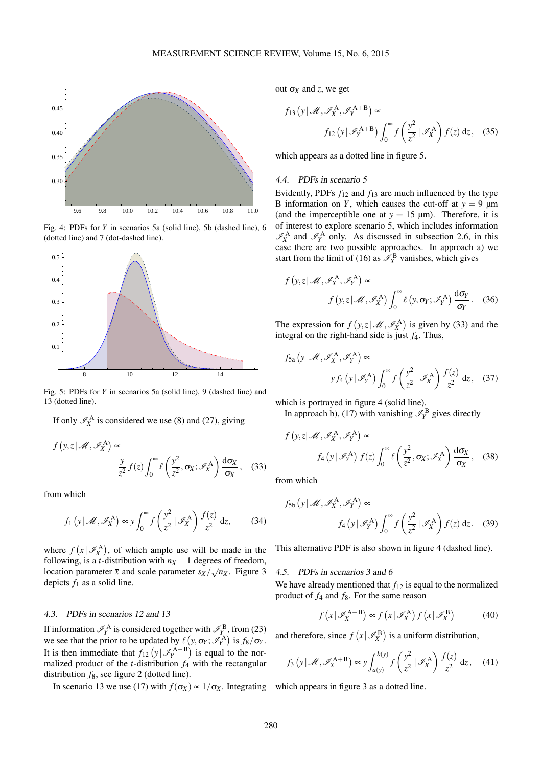<span id="page-6-2"></span>

Fig. 4: PDFs for *Y* in scenarios 5a (solid line), 5b (dashed line), 6 (dotted line) and 7 (dot-dashed line).

<span id="page-6-0"></span>

Fig. 5: PDFs for *Y* in scenarios 5a (solid line), 9 (dashed line) and 13 (dotted line).

If only  $\mathcal{I}_X^A$  is considered we use [\(8\)](#page-2-3) and [\(27\)](#page-4-6), giving

$$
f(y, z | \mathcal{M}, \mathcal{I}_X^{\mathbf{A}}) \propto
$$

$$
\frac{y}{z^2} f(z) \int_0^\infty \ell\left(\frac{y^2}{z^2}, \sigma_X; \mathcal{I}_X^{\mathbf{A}}\right) \frac{d\sigma_X}{\sigma_X}, \quad (33)
$$

from which

<span id="page-6-3"></span>
$$
f_1(y|\mathcal{M}, \mathcal{I}_X^{\mathbf{A}}) \propto y \int_0^\infty f\left(\frac{y^2}{z^2} | \mathcal{I}_X^{\mathbf{A}}\right) \frac{f(z)}{z^2} dz,
$$
 (34)

where  $f(x | \mathcal{I}_X^{\mathbf{A}})$ , of which ample use will be made in the following, is a *t*-distribution with  $n_X - 1$  degrees of freedom, location parameter  $\bar{x}$  and scale parameter  $s_X/\sqrt{n_X}$ . Figure [3](#page-5-2) depicts  $f_1$  as a solid line.

# 4.3. PDFs in scenarios 12 and 13

If information  $\mathcal{I}_Y^{\mathbf{A}}$  is considered together with  $\mathcal{I}_Y^{\mathbf{B}}$ , from [\(23\)](#page-4-3) we see that the prior to be updated by  $\ell (y, \sigma_Y; \mathscr{I}_Y^{\mathbf{A}})$  is  $f_8/\sigma_Y$ . It is then immediate that  $f_{12}(y | \mathcal{I}_Y^{A+B})$  is equal to the normalized product of the *t*-distribution  $f_4$  with the rectangular distribution *f*8, see figure [2](#page-5-1) (dotted line).

In scenario 13 we use [\(17\)](#page-3-3) with  $f(\sigma_X) \propto 1/\sigma_X$ . Integrating which appears in figure [3](#page-5-2) as a dotted line.

out  $\sigma_X$  and *z*, we get

$$
f_{13}\left(y|\mathcal{M}, \mathcal{I}_X^{\mathbf{A}}, \mathcal{I}_Y^{\mathbf{A}+\mathbf{B}}\right) \propto
$$
  

$$
f_{12}\left(y|\mathcal{I}_Y^{\mathbf{A}+\mathbf{B}}\right) \int_0^\infty f\left(\frac{y^2}{z^2}|\mathcal{I}_X^{\mathbf{A}}\right) f(z) dz, \quad (35)
$$

which appears as a dotted line in figure [5.](#page-6-0)

## 4.4. PDFs in scenario 5

Evidently, PDFs *f*<sup>12</sup> and *f*<sup>13</sup> are much influenced by the type B information on *Y*, which causes the cut-off at  $y = 9 \text{ µm}$ (and the imperceptible one at  $y = 15 \text{ }\mu\text{m}$ ). Therefore, it is of interest to explore scenario 5, which includes information  $\mathcal{I}_X^{\mathbf{A}}$  and  $\mathcal{I}_Y^{\mathbf{A}}$  only. As discussed in subsection [2.6,](#page-3-6) in this case there are two possible approaches. In approach a) we start from the limit of [\(16\)](#page-3-2) as  $\mathcal{I}_X^{\text{B}}$  vanishes, which gives

$$
f(y, z | \mathcal{M}, \mathcal{I}_X^A, \mathcal{I}_Y^A) \propto
$$
  

$$
f(y, z | \mathcal{M}, \mathcal{I}_X^A) \int_0^\infty \ell(y, \sigma_Y; \mathcal{I}_Y^A) \frac{d\sigma_Y}{\sigma_Y}.
$$
 (36)

The expression for  $f(y, z | \mathcal{M}, \mathcal{I}_{X}^{A})$  is given by [\(33\)](#page-6-1) and the integral on the right-hand side is just  $f_4$ . Thus,

$$
f_{5a} (y | \mathcal{M}, \mathcal{I}_X^A, \mathcal{I}_Y^A) \propto
$$
  

$$
y f_4 (y | \mathcal{I}_Y^A) \int_0^\infty f \left( \frac{y^2}{z^2} | \mathcal{I}_X^A \right) \frac{f(z)}{z^2} dz, \quad (37)
$$

which is portrayed in figure [4](#page-6-2) (solid line). In approach b), [\(17\)](#page-3-3) with vanishing  $\mathcal{I}_Y^{\text{B}}$  gives directly

$$
f(y, z | \mathcal{M}, \mathcal{I}_X^A, \mathcal{I}_Y^A) \propto
$$
  

$$
f_4(y | \mathcal{I}_Y^A) f(z) \int_0^\infty \ell \left(\frac{y^2}{z^2}, \sigma_X; \mathcal{I}_X^A\right) \frac{d\sigma_X}{\sigma_X}, \quad (38)
$$

<span id="page-6-1"></span>from which

*f*

$$
f_{5b} (y | \mathcal{M}, \mathcal{I}_X^{\mathbf{A}}, \mathcal{I}_Y^{\mathbf{A}}) \propto
$$
  

$$
f_4 (y | \mathcal{I}_Y^{\mathbf{A}}) \int_0^\infty f \left( \frac{y^2}{z^2} | \mathcal{I}_X^{\mathbf{A}} \right) f(z) dz. \quad (39)
$$

This alternative PDF is also shown in figure [4](#page-6-2) (dashed line).

#### 4.5. PDFs in scenarios 3 and 6

We have already mentioned that  $f_{12}$  is equal to the normalized product of *f*<sup>4</sup> and *f*8. For the same reason

<span id="page-6-4"></span>
$$
f(x | \mathscr{I}_X^{\mathbf{A} + \mathbf{B}}) \propto f(x | \mathscr{I}_X^{\mathbf{A}}) f(x | \mathscr{I}_X^{\mathbf{B}})
$$
(40)

and therefore, since  $f(x | \mathcal{I}_X^{\mathbf{B}})$  is a uniform distribution,

$$
f_3(y|\mathscr{M}, \mathscr{I}_X^{A+B}) \propto y \int_{a(y)}^{b(y)} f\left(\frac{y^2}{z^2} | \mathscr{I}_X^A\right) \frac{f(z)}{z^2} dz,
$$
 (41)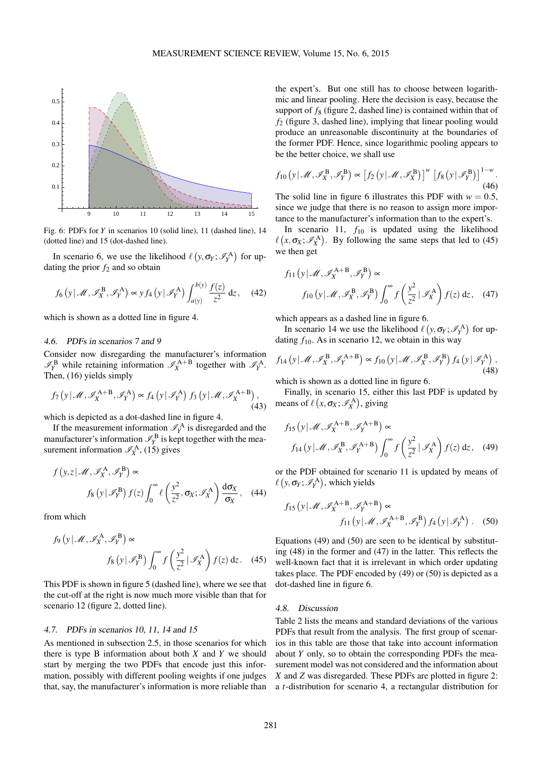<span id="page-7-0"></span>

Fig. 6: PDFs for *Y* in scenarios 10 (solid line), 11 (dashed line), 14 (dotted line) and 15 (dot-dashed line).

In scenario 6, we use the likelihood  $\ell(y, \sigma_Y; \mathscr{I}_Y^A)$  for updating the prior  $f_2$  and so obtain

$$
f_6(y|\mathcal{M}, \mathscr{I}_X^B, \mathscr{I}_Y^A) \propto y f_4(y|\mathscr{I}_Y^A) \int_{a(y)}^{b(y)} \frac{f(z)}{z^2} dz,
$$
 (42)

which is shown as a dotted line in figure [4.](#page-6-2)

## 4.6. PDFs in scenarios 7 and 9

Consider now disregarding the manufacturer's information  $\mathscr{I}_{Y}^{B}$  while retaining information  $\mathscr{I}_{X}^{A+B}$  together with  $\mathscr{I}_{Y}^{A}$ . Then, [\(16\)](#page-3-2) yields simply

$$
f_7\left(y|\mathcal{M}, \mathcal{I}_X^{\mathbf{A}+\mathbf{B}}, \mathcal{I}_Y^{\mathbf{A}}\right) \propto f_4\left(y|\mathcal{I}_Y^{\mathbf{A}}\right) f_3\left(y|\mathcal{M}, \mathcal{I}_X^{\mathbf{A}+\mathbf{B}}\right),\tag{43}
$$

which is depicted as a dot-dashed line in figure [4.](#page-6-2)

If the measurement information  $\mathcal{I}_Y^{\mathbf{A}}$  is disregarded and the If the measurement information  $\mathcal{I}_Y^B$  is ustegative and the mea-<br>manufacturer's information  $\mathcal{I}_Y^B$  is kept together with the measurement information  $\mathscr{I}_X^{\mathbf{A}}$ , [\(15\)](#page-3-1) gives

$$
f(y, z | \mathcal{M}, \mathcal{I}_X^{\mathbf{A}}, \mathcal{I}_Y^{\mathbf{B}}) \propto
$$
  

$$
f_8(y | \mathcal{I}_Y^{\mathbf{B}}) f(z) \int_0^\infty \ell \left(\frac{y^2}{z^2}, \sigma_X; \mathcal{I}_X^{\mathbf{A}}\right) \frac{d\sigma_X}{\sigma_X}, \quad (44)
$$

from which

$$
f_9(y|\mathcal{M}, \mathcal{I}_X^A, \mathcal{I}_Y^B) \propto
$$
  

$$
f_8(y|\mathcal{I}_Y^B) \int_0^\infty f\left(\frac{y^2}{z^2}|\mathcal{I}_X^A\right) f(z) dz. \quad (45)
$$

This PDF is shown in figure [5](#page-6-0) (dashed line), where we see that the cut-off at the right is now much more visible than that for scenario 12 (figure [2,](#page-5-1) dotted line).

#### 4.7. PDFs in scenarios 10, 11, 14 and 15

As mentioned in subsection [2.5,](#page-3-7) in those scenarios for which there is type B information about both *X* and *Y* we should start by merging the two PDFs that encode just this information, possibly with different pooling weights if one judges that, say, the manufacturer's information is more reliable than the expert's. But one still has to choose between logarithmic and linear pooling. Here the decision is easy, because the support of *f*<sup>8</sup> (figure [2,](#page-5-1) dashed line) is contained within that of *f*<sup>2</sup> (figure [3,](#page-5-2) dashed line), implying that linear pooling would produce an unreasonable discontinuity at the boundaries of the former PDF. Hence, since logarithmic pooling appears to be the better choice, we shall use

$$
f_{10}\left(\mathbf{y}|\mathcal{M},\mathscr{I}_{X}^{B},\mathscr{I}_{Y}^{B}\right)\propto\left[f_{2}\left(\mathbf{y}|\mathcal{M},\mathscr{I}_{X}^{B}\right)\right]^{w}\left[f_{8}\left(\mathbf{y}|\mathscr{I}_{Y}^{B}\right)\right]^{1-w}.
$$
\n(46)

The solid line in figure [6](#page-7-0) illustrates this PDF with  $w = 0.5$ . since we judge that there is no reason to assign more importance to the manufacturer's information than to the expert's.

In scenario 11, *f*<sup>10</sup> is updated using the likelihood  $\ell(x, \sigma_X; \mathscr{I}_X^{\mathbf{A}})$ . By following the same steps that led to [\(45\)](#page-7-1) we then get

<span id="page-7-5"></span>
$$
f_{11}\left(y|\mathcal{M}, \mathcal{I}_X^{A+B}, \mathcal{I}_Y^B\right) \propto
$$
  

$$
f_{10}\left(y|\mathcal{M}, \mathcal{I}_X^B, \mathcal{I}_Y^B\right) \int_0^\infty f\left(\frac{y^2}{z^2}|\mathcal{I}_X^A\right) f(z) dz, \quad (47)
$$

which appears as a dashed line in figure [6.](#page-7-0)

<span id="page-7-4"></span>In scenario 14 we use the likelihood  $\ell(y, \sigma_Y; \mathcal{I}_Y^A)$  for updating  $f_{10}$ . As in scenario 12, we obtain in this way

$$
f_{14}\left(\mathbf{y}|\mathcal{M},\mathscr{I}_{X}^{B},\mathscr{I}_{Y}^{A+B}\right)\propto f_{10}\left(\mathbf{y}|\mathcal{M},\mathscr{I}_{X}^{B},\mathscr{I}_{Y}^{B}\right)f_{4}\left(\mathbf{y}|\mathscr{I}_{Y}^{A}\right),\tag{48}
$$

which is shown as a dotted line in figure [6.](#page-7-0)

Finally, in scenario 15, either this last PDF is updated by means of  $\ell(x, \sigma_X; \mathscr{I}_X^{\mathbf{A}})$ , giving

<span id="page-7-2"></span>
$$
f_{15}(y|\mathcal{M}, \mathcal{I}_X^{A+B}, \mathcal{I}_Y^{A+B}) \propto
$$
  

$$
f_{14}(y|\mathcal{M}, \mathcal{I}_X^B, \mathcal{I}_Y^{A+B}) \int_0^\infty f\left(\frac{y^2}{z^2}|\mathcal{I}_X^A\right) f(z) dz, \quad (49)
$$

or the PDF obtained for scenario 11 is updated by means of  $\ell(y, \sigma_Y; \mathscr{I}_Y^{\mathbf{A}})$ , which yields

<span id="page-7-3"></span>
$$
f_{15}\left(y|\mathcal{M}, \mathcal{I}_X^{A+B}, \mathcal{I}_Y^{A+B}\right) \propto f_{11}\left(y|\mathcal{M}, \mathcal{I}_X^{A+B}, \mathcal{I}_Y^B\right) f_4\left(y|\mathcal{I}_Y^A\right).
$$
 (50)

<span id="page-7-1"></span>Equations [\(49\)](#page-7-2) and [\(50\)](#page-7-3) are seen to be identical by substituting [\(48\)](#page-7-4) in the former and [\(47\)](#page-7-5) in the latter. This reflects the well-known fact that it is irrelevant in which order updating takes place. The PDF encoded by [\(49\)](#page-7-2) or [\(50\)](#page-7-3) is depicted as a dot-dashed line in figure [6.](#page-7-0)

## 4.8. Discussion

Table [2](#page-8-1) lists the means and standard deviations of the various PDFs that result from the analysis. The first group of scenarios in this table are those that take into account information about *Y* only, so to obtain the corresponding PDFs the measurement model was not considered and the information about *X* and *Z* was disregarded. These PDFs are plotted in figure [2:](#page-5-1) a *t*-distribution for scenario 4, a rectangular distribution for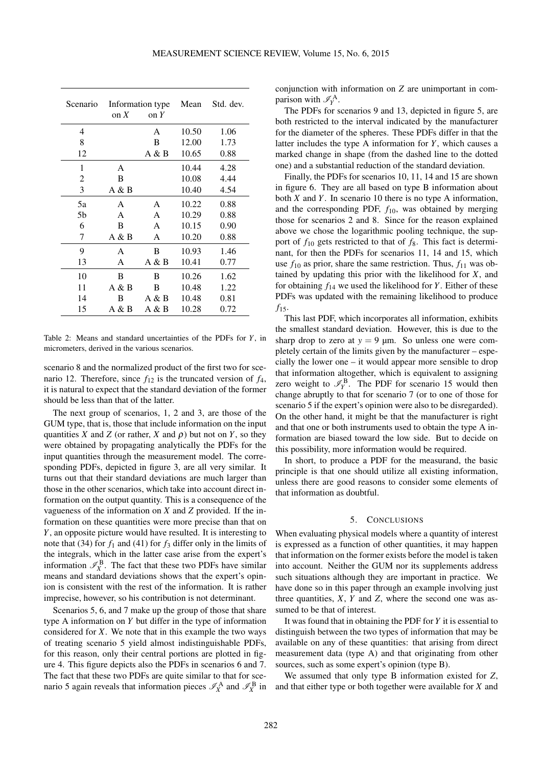<span id="page-8-1"></span>

| Scenario | on $X$ | Information type<br>on $Y$ | Mean  | Std. dev. |
|----------|--------|----------------------------|-------|-----------|
| 4        |        | A                          | 10.50 | 1.06      |
| 8        |        | B                          | 12.00 | 1.73      |
| 12       |        | A & B                      | 10.65 | 0.88      |
| 1        | A      |                            | 10.44 | 4.28      |
| 2        | B      |                            | 10.08 | 4.44      |
| 3        | A & B  |                            | 10.40 | 4.54      |
| 5a       | A      | A                          | 10.22 | 0.88      |
| .5b      | A      | A                          | 10.29 | 0.88      |
| 6        | B      | A                          | 10.15 | 0.90      |
| 7        | A & B  | A                          | 10.20 | 0.88      |
| 9        | A      | B                          | 10.93 | 1.46      |
| 13       | A      | A & B                      | 10.41 | 0.77      |
| 10       | B      | B                          | 10.26 | 1.62      |
| 11       | A & B  | B                          | 10.48 | 1.22      |
| 14       | B      | A & B                      | 10.48 | 0.81      |
| 15       | A & B  | A & B                      | 10.28 | 0.72      |

Table 2: Means and standard uncertainties of the PDFs for *Y*, in micrometers, derived in the various scenarios.

scenario 8 and the normalized product of the first two for scenario 12. Therefore, since  $f_{12}$  is the truncated version of  $f_4$ , it is natural to expect that the standard deviation of the former should be less than that of the latter.

The next group of scenarios, 1, 2 and 3, are those of the GUM type, that is, those that include information on the input quantities *X* and *Z* (or rather, *X* and  $\rho$ ) but not on *Y*, so they were obtained by propagating analytically the PDFs for the input quantities through the measurement model. The corresponding PDFs, depicted in figure [3,](#page-5-2) are all very similar. It turns out that their standard deviations are much larger than those in the other scenarios, which take into account direct information on the output quantity. This is a consequence of the vagueness of the information on *X* and *Z* provided. If the information on these quantities were more precise than that on *Y*, an opposite picture would have resulted. It is interesting to note that [\(34\)](#page-6-3) for  $f_1$  and [\(41\)](#page-6-4) for  $f_3$  differ only in the limits of the integrals, which in the latter case arise from the expert's information  $\mathcal{I}_X^{\text{B}}$ . The fact that these two PDFs have similar means and standard deviations shows that the expert's opinion is consistent with the rest of the information. It is rather imprecise, however, so his contribution is not determinant.

Scenarios 5, 6, and 7 make up the group of those that share type A information on *Y* but differ in the type of information considered for *X*. We note that in this example the two ways of treating scenario 5 yield almost indistinguishable PDFs, for this reason, only their central portions are plotted in figure [4.](#page-6-2) This figure depicts also the PDFs in scenarios 6 and 7. The fact that these two PDFs are quite similar to that for scenario 5 again reveals that information pieces  $\mathscr{I}_X^{\mathbf{A}}$  and  $\mathscr{I}_X^{\mathbf{B}}$  in

conjunction with information on *Z* are unimportant in comparison with  $\mathcal{I}_Y^{\mathbf{A}}$ .

The PDFs for scenarios 9 and 13, depicted in figure [5,](#page-6-0) are both restricted to the interval indicated by the manufacturer for the diameter of the spheres. These PDFs differ in that the latter includes the type A information for *Y*, which causes a marked change in shape (from the dashed line to the dotted one) and a substantial reduction of the standard deviation.

Finally, the PDFs for scenarios 10, 11, 14 and 15 are shown in figure [6.](#page-7-0) They are all based on type B information about both *X* and *Y*. In scenario 10 there is no type A information, and the corresponding PDF, *f*10, was obtained by merging those for scenarios 2 and 8. Since for the reason explained above we chose the logarithmic pooling technique, the support of  $f_{10}$  gets restricted to that of  $f_8$ . This fact is determinant, for then the PDFs for scenarios 11, 14 and 15, which use  $f_{10}$  as prior, share the same restriction. Thus,  $f_{11}$  was obtained by updating this prior with the likelihood for *X*, and for obtaining  $f_{14}$  we used the likelihood for *Y*. Either of these PDFs was updated with the remaining likelihood to produce  $f_{15}$ .

This last PDF, which incorporates all information, exhibits the smallest standard deviation. However, this is due to the sharp drop to zero at  $y = 9 \mu m$ . So unless one were completely certain of the limits given by the manufacturer – especially the lower one – it would appear more sensible to drop that information altogether, which is equivalent to assigning zero weight to  $\mathcal{I}_Y^{\text{B}}$ . The PDF for scenario 15 would then change abruptly to that for scenario 7 (or to one of those for scenario 5 if the expert's opinion were also to be disregarded). On the other hand, it might be that the manufacturer is right and that one or both instruments used to obtain the type A information are biased toward the low side. But to decide on this possibility, more information would be required.

In short, to produce a PDF for the measurand, the basic principle is that one should utilize all existing information, unless there are good reasons to consider some elements of that information as doubtful.

## 5. CONCLUSIONS

<span id="page-8-0"></span>When evaluating physical models where a quantity of interest is expressed as a function of other quantities, it may happen that information on the former exists before the model is taken into account. Neither the GUM nor its supplements address such situations although they are important in practice. We have done so in this paper through an example involving just three quantities,  $X$ ,  $Y$  and  $Z$ , where the second one was assumed to be that of interest.

It was found that in obtaining the PDF for *Y* it is essential to distinguish between the two types of information that may be available on any of these quantities: that arising from direct measurement data (type A) and that originating from other sources, such as some expert's opinion (type B).

We assumed that only type B information existed for *Z*, and that either type or both together were available for *X* and